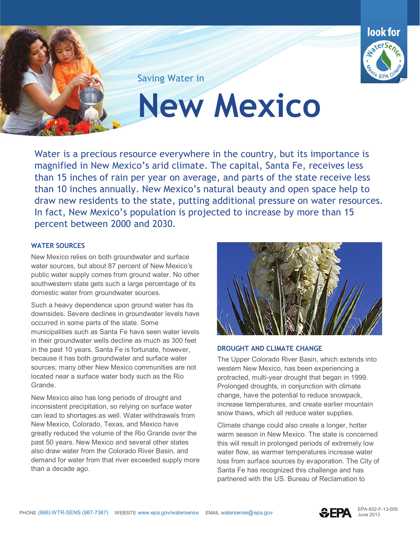

Saving Water in

**New Mexico** 

 than 15 inches of rain per year on average, and parts of the state receive less than 10 inches annually. New Mexico's natural beauty and open space help to draw new residents to the state, putting additional pressure on water resources. In fact, New Mexico's population is projected to increase by more than 15 Water is a precious resource everywhere in the country, but its importance is magnified in New Mexico's arid climate. The capital, Santa Fe, receives less percent between 2000 and 2030.

## **WATER SOURCES**

New Mexico relies on both groundwater and surface water sources, but about 87 percent of New Mexico's public water supply comes from ground water. No other southwestern state gets such a large percentage of its domestic water from groundwater sources.

 occurred in some parts of the state. Some Grande. Such a heavy dependence upon ground water has its downsides. Severe declines in groundwater levels have municipalities such as Santa Fe have seen water levels in their groundwater wells decline as much as 300 feet in the past 10 years. Santa Fe is fortunate, however, because it has both groundwater and surface water sources; many other New Mexico communities are not located near a surface water body such as the Rio

 can lead to shortages as well. Water withdrawals from demand for water from that river exceeded supply more New Mexico also has long periods of drought and inconsistent precipitation, so relying on surface water New Mexico, Colorado, Texas, and Mexico have greatly reduced the volume of the Rio Grande over the past 50 years. New Mexico and several other states also draw water from the Colorado River Basin, and than a decade ago.



## **DROUGHT AND CLIMATE CHANGE**

 increase temperatures, and create earlier mountain The Upper Colorado River Basin, which extends into western New Mexico, has been experiencing a protracted, multi-year drought that began in 1999. Prolonged droughts, in conjunction with climate change, have the potential to reduce snowpack, snow thaws, which all reduce water supplies.

 this will result in prolonged periods of extremely low Climate change could also create a longer, hotter warm season in New Mexico. The state is concerned water flow, as warmer temperatures increase water loss from surface sources by evaporation. The City of Santa Fe has recognized this challenge and has partnered with the US. Bureau of Reclamation to